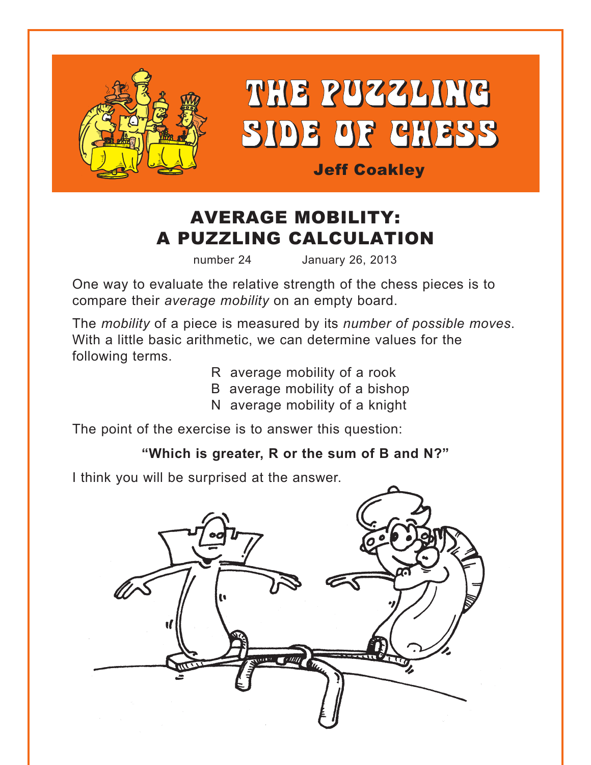<span id="page-0-0"></span>

THE PUZZLING SIDE OF CHESS

Jeff Coakley

# AVERAGE MOBILITY: A PUZZLING CALCULATION

number 24 January 26, 2013

One way to evaluate the relative strength of the chess pieces is to compare their *average mobility* on an empty board.

The *mobility* of a piece is measured by its *number of possible moves*. With a little basic arithmetic, we can determine values for the following terms.

- R average mobility of a rook
- B average mobility of a bishop
- N average mobility of a knight

The point of the exercise is to answer this question:

## **["Which is greater, R or the sum of B and N?"](#page-5-0)**

I think you will be surprised at the answer.

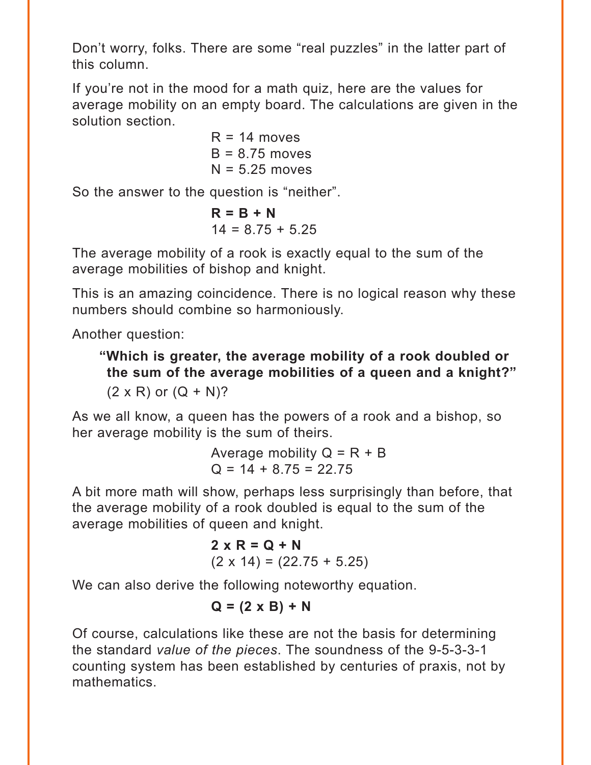Don't worry, folks. There are some "real puzzles" in the latter part of this column.

If you're not in the mood for a math quiz, here are the values for average mobility on an empty board. The calculations are given in the solution section.

> $R = 14$  moves  $B = 8.75$  moves  $N = 5.25$  moves

So the answer to the question is "neither".

$$
R = B + N
$$
  
14 = 8.75 + 5.25

The average mobility of a rook is exactly equal to the sum of the average mobilities of bishop and knight.

This is an amazing coincidence. There is no logical reason why these numbers should combine so harmoniously.

Another question:

**["Which is greater, the average mobility of a rook doubled or](#page-5-0)  the sum of the average mobilities of a queen and a knight?"**   $(2 \times R)$  or  $(Q + N)$ ?

As we all know, a queen has the powers of a rook and a bishop, so her average mobility is the sum of theirs.

> Average mobility  $Q = R + B$  $Q = 14 + 8.75 = 22.75$

A bit more math will show, perhaps less surprisingly than before, that the average mobility of a rook doubled is equal to the sum of the average mobilities of queen and knight.

$$
2 \times R = Q + N
$$
  
(2 x 14) = (22.75 + 5.25)

We can also derive the following noteworthy equation.

#### $Q = (2 \times B) + N$

Of course, calculations like these are not the basis for determining the standard *value of the pieces*. The soundness of the 9-5-3-3-1 counting system has been established by centuries of praxis, not by mathematics.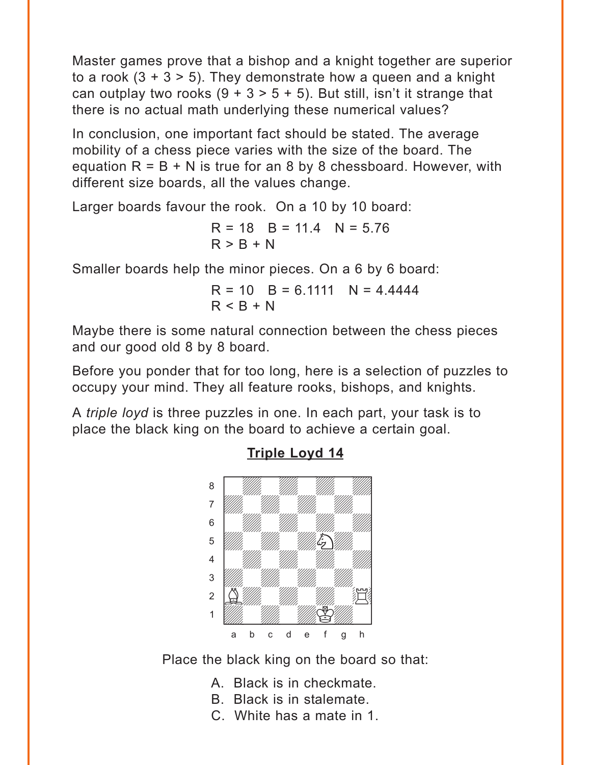<span id="page-2-0"></span>Master games prove that a bishop and a knight together are superior to a rook  $(3 + 3 > 5)$ . They demonstrate how a queen and a knight can outplay two rooks  $(9 + 3 > 5 + 5)$ . But still, isn't it strange that there is no actual math underlying these numerical values?

In conclusion, one important fact should be stated. The average mobility of a chess piece varies with the size of the board. The equation  $R = B + N$  is true for an 8 by 8 chessboard. However, with different size boards, all the values change.

Larger boards favour the rook. On a 10 by 10 board:

 $R = 18$   $R = 11.4$   $N = 5.76$  $R > B + N$ 

Smaller boards help the minor pieces. On a 6 by 6 board:

 $R = 10$  B = 6.1111 N = 4.4444  $R < R + N$ 

Maybe there is some natural connection between the chess pieces and our good old 8 by 8 board.

Before you ponder that for too long, here is a selection of puzzles to occupy your mind. They all feature rooks, bishops, and knights.

A *triple loyd* is three puzzles in one. In each part, your task is to place the black king on the board to achieve a certain goal.



#### **[Triple Loyd 14](#page-7-0)**

Place the black king on the board so that:

- A. Black is in checkmate.
- B. Black is in stalemate.
- C. White has a mate in 1.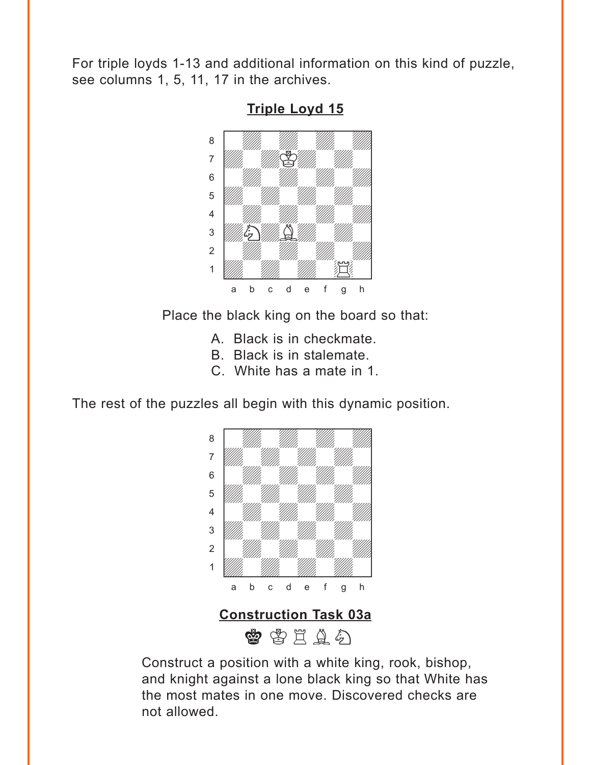<span id="page-3-0"></span>For triple loyds 1-13 and additional information on this kind of puzzle, see columns 1, 5, 11, 17 in the archives.



**[Triple Loyd 15](#page-8-0)**

Place the black king on the board so that:

- A. Black is in checkmate.
- B. Black is in stalemate.
- C. White has a mate in 1.

The rest of the puzzles all begin with this dynamic position.



**[Construction Task 03a](#page-8-0)**

曾 皆 里 鱼 名

Construct a position with a white king, rook, bishop, and knight against a lone black king so that White has the most mates in one move. Discovered checks are not allowed.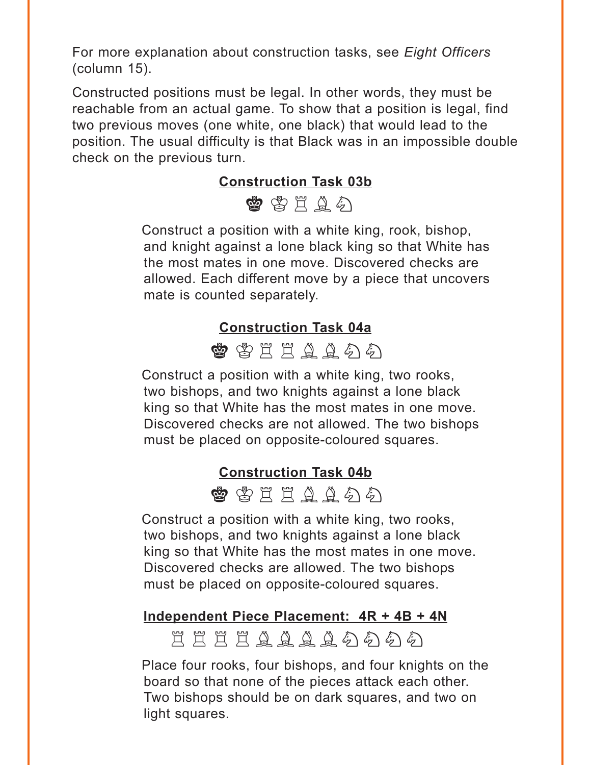<span id="page-4-0"></span>For more explanation about construction tasks, see *Eight Officers* (column 15).

Constructed positions must be legal. In other words, they must be reachable from an actual game. To show that a position is legal, find two previous moves (one white, one black) that would lead to the position. The usual difficulty is that Black was in an impossible double check on the previous turn.

#### **[Construction Task 03b](#page-9-0)**



Construct a position with a white king, rook, bishop, and knight against a lone black king so that White has the most mates in one move. Discovered checks are allowed. Each different move by a piece that uncovers mate is counted separately.

#### **[Construction Task 04a](#page-9-0)**



Construct a position with a white king, two rooks, two bishops, and two knights against a lone black king so that White has the most mates in one move. Discovered checks are not allowed. The two bishops must be placed on opposite-coloured squares.

#### **[Construction Task 04b](#page-10-0)**

 $\qquad \qquad \bullet$  the final final field  $\circ$  field  $\circ$  field  $\circ$  field  $\circ$  field  $\circ$  field  $\circ$ 

Construct a position with a white king, two rooks, two bishops, and two knights against a lone black king so that White has the most mates in one move. Discovered checks are allowed. The two bishops must be placed on opposite-coloured squares.

#### **[Independent Piece Placement: 4R + 4B + 4N](#page-10-0)**

EEEEAAAA4555

Place four rooks, four bishops, and four knights on the board so that none of the pieces attack each other. Two bishops should be on dark squares, and two on light squares.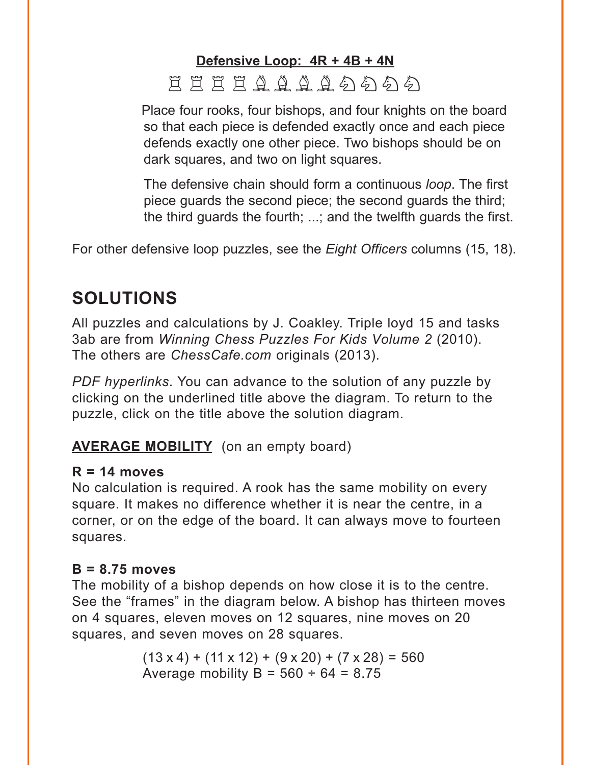## <span id="page-5-0"></span>**[Defensive Loop: 4R + 4B + 4N](#page-12-0)** EEEEAAAA4A

Place four rooks, four bishops, and four knights on the board so that each piece is defended exactly once and each piece defends exactly one other piece. Two bishops should be on dark squares, and two on light squares.

The defensive chain should form a continuous *loop*. The first piece guards the second piece; the second guards the third; the third guards the fourth; ...; and the twelfth guards the first.

For other defensive loop puzzles, see the *Eight Officers* columns (15, 18).

# **SOLUTIONS**

All puzzles and calculations by J. Coakley. Triple loyd 15 and tasks 3ab are from *Winning Chess Puzzles For Kids Volume 2* (2010). The others are *ChessCafe.com* originals (2013).

*PDF hyperlinks*. You can advance to the solution of any puzzle by clicking on the underlined title above the diagram. To return to the puzzle, click on the title above the solution diagram.

## **[AVERAGE MOBILITY](#page-0-0)** (on an empty board)

#### **R = 14 moves**

No calculation is required. A rook has the same mobility on every square. It makes no difference whether it is near the centre, in a corner, or on the edge of the board. It can always move to fourteen squares.

## **B = 8.75 moves**

The mobility of a bishop depends on how close it is to the centre. See the "frames" in the diagram below. A bishop has thirteen moves on 4 squares, eleven moves on 12 squares, nine moves on 20 squares, and seven moves on 28 squares.

> $(13 \times 4) + (11 \times 12) + (9 \times 20) + (7 \times 28) = 560$ Average mobility  $B = 560 \div 64 = 8.75$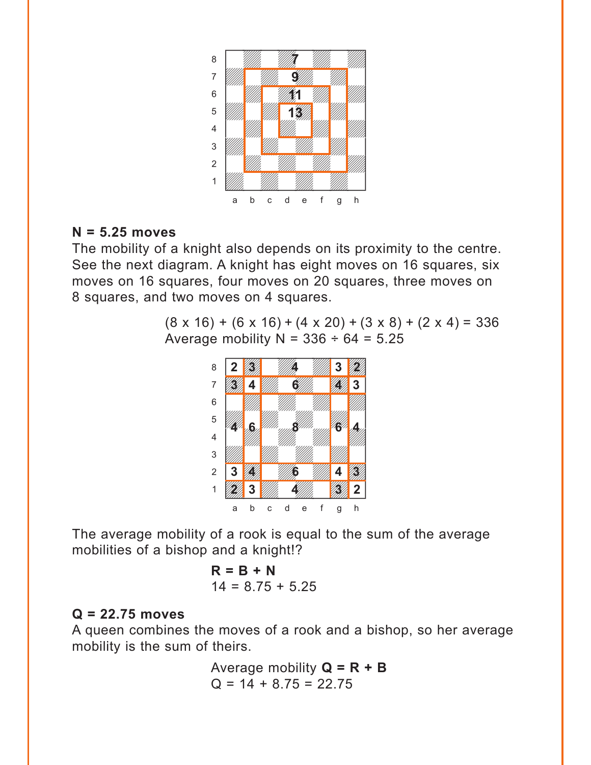

#### **N = 5.25 moves**

The mobility of a knight also depends on its proximity to the centre. See the next diagram. A knight has eight moves on 16 squares, six moves on 16 squares, four moves on 20 squares, three moves on 8 squares, and two moves on 4 squares.

> $(8 \times 16) + (6 \times 16) + (4 \times 20) + (3 \times 8) + (2 \times 4) = 336$ Average mobility  $N = 336 \div 64 = 5.25$



The average mobility of a rook is equal to the sum of the average mobilities of a bishop and a knight!?

$$
R = B + N
$$
  
14 = 8.75 + 5.25

#### **Q = 22.75 moves**

A queen combines the moves of a rook and a bishop, so her average mobility is the sum of theirs.

> Average mobility **Q = R + B**  $Q = 14 + 8.75 = 22.75$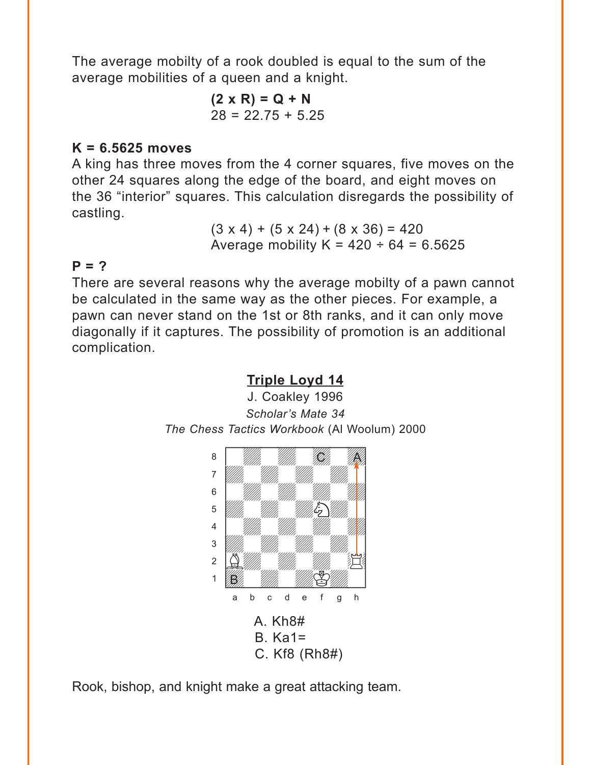<span id="page-7-0"></span>The average mobilty of a rook doubled is equal to the sum of the average mobilities of a queen and a knight.

> **(2 x R) = Q + N**  $28 = 22.75 + 5.25$

#### **K = 6.5625 moves**

A king has three moves from the 4 corner squares, five moves on the other 24 squares along the edge of the board, and eight moves on the 36 "interior" squares. This calculation disregards the possibility of castling.

> $(3 \times 4) + (5 \times 24) + (8 \times 36) = 420$ Average mobility  $K = 420 \div 64 = 6.5625$

#### **P = ?**

There are several reasons why the average mobilty of a pawn cannot be calculated in the same way as the other pieces. For example, a pawn can never stand on the 1st or 8th ranks, and it can only move diagonally if it captures. The possibility of promotion is an additional complication.



C. Kf8 (Rh8#)

Rook, bishop, and knight make a great attacking team.

#### **[Triple Loyd 14](#page-2-0)**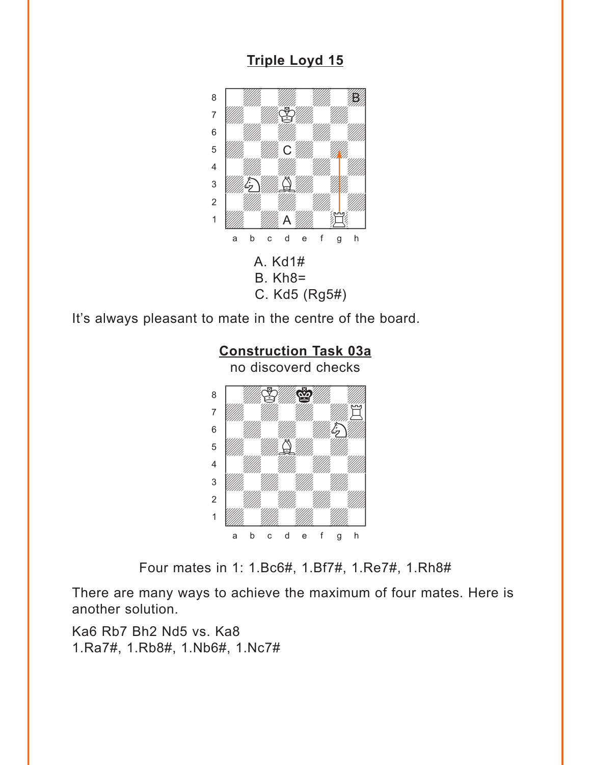## **Triple Loyd 15**

<span id="page-8-0"></span>

It's always pleasant to mate in the centre of the board.



Four mates in 1: 1.Bc6#, 1.Bf7#, 1.Re7#, 1.Rh8#

There are many ways to achieve the maximum of four mates. Here is another solution.

Ka6 Rb7 Bh2 Nd5 vs. Ka8 1.Ra7#, 1.Rb8#, 1.Nb6#, 1.Nc7#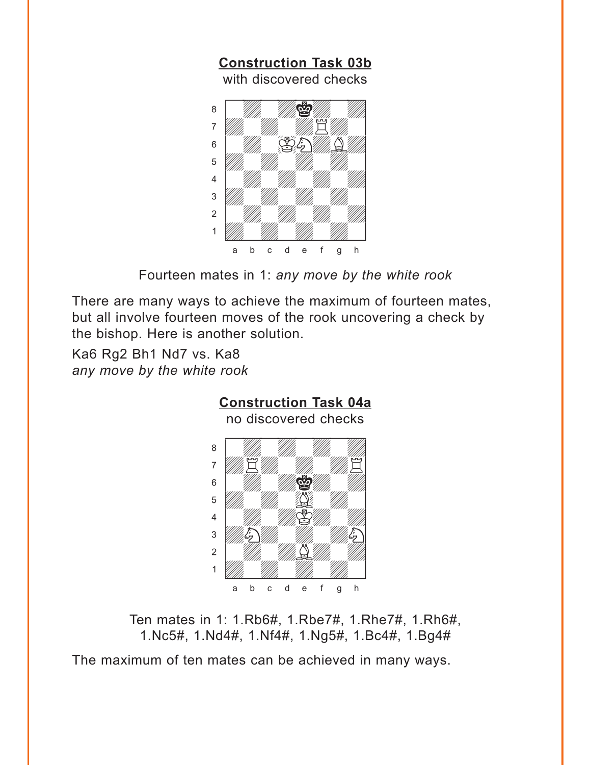<span id="page-9-0"></span>

Fourteen mates in 1: *any move by the white rook*

There are many ways to achieve the maximum of fourteen mates, but all involve fourteen moves of the rook uncovering a check by the bishop. Here is another solution.

Ka6 Rg2 Bh1 Nd7 vs. Ka8 *any move by the white rook*



Ten mates in 1: 1.Rb6#, 1.Rbe7#, 1.Rhe7#, 1.Rh6#, 1.Nc5#, 1.Nd4#, 1.Nf4#, 1.Ng5#, 1.Bc4#, 1.Bg4#

The maximum of ten mates can be achieved in many ways.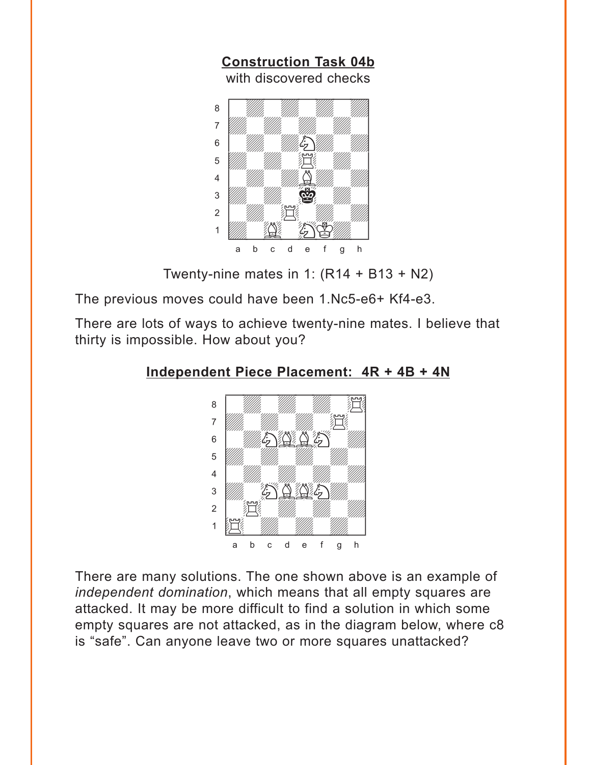<span id="page-10-0"></span>

Twenty-nine mates in 1:  $(R14 + B13 + N2)$ 

The previous moves could have been 1.Nc5-e6+ Kf4-e3.

There are lots of ways to achieve twenty-nine mates. I believe that thirty is impossible. How about you?

#### **[Independent Piece Placement: 4R + 4B + 4N](#page-4-0)**



There are many solutions. The one shown above is an example of *independent domination*, which means that all empty squares are attacked. It may be more difficult to find a solution in which some empty squares are not attacked, as in the diagram below, where c8 is "safe". Can anyone leave two or more squares unattacked?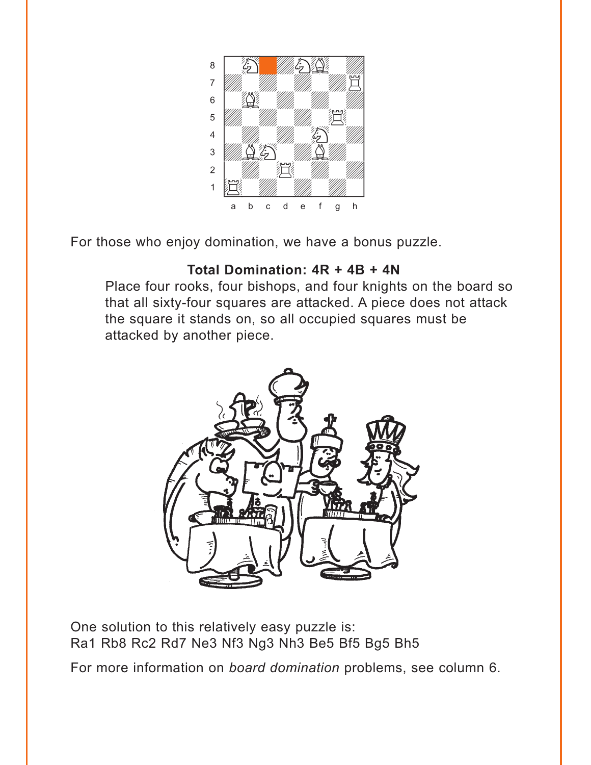

For those who enjoy domination, we have a bonus puzzle.

## Total Domination: 4R + 4B + 4N

Place four rooks, four bishops, and four knights on the board so that all sixty-four squares are attacked. A piece does not attack the square it stands on, so all occupied squares must be attacked by another piece.



One solution to this relatively easy puzzle is: Ra1 Rb8 Rc2 Rd7 Ne3 Nf3 Ng3 Nh3 Be5 Bf5 Bg5 Bh5

For more information on board domination problems, see column 6.